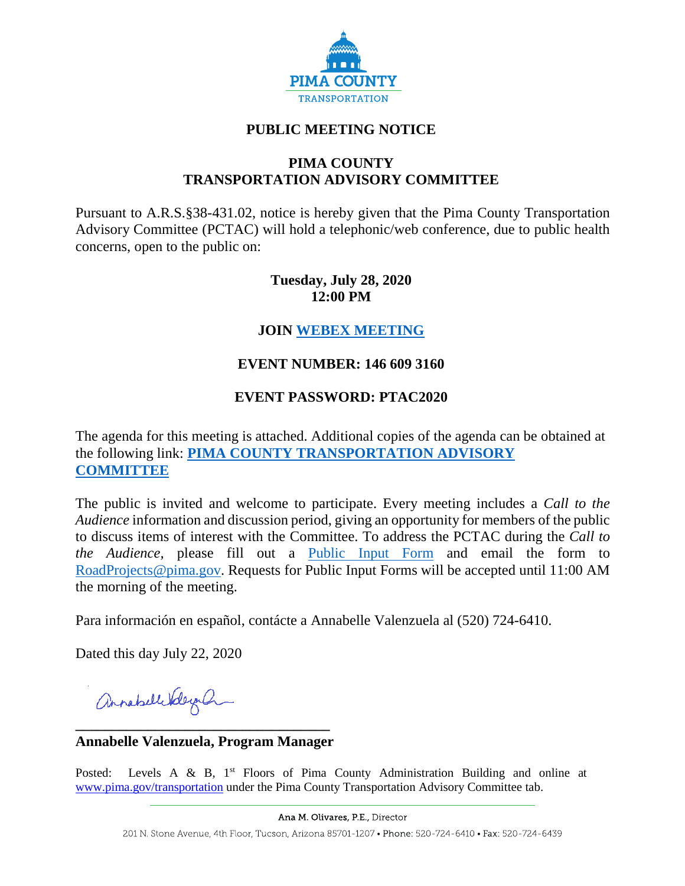

# **PUBLIC MEETING NOTICE**

#### **PIMA COUNTY TRANSPORTATION ADVISORY COMMITTEE**

Pursuant to A.R.S.§38-431.02, notice is hereby given that the Pima County Transportation Advisory Committee (PCTAC) will hold a telephonic/web conference, due to public health concerns, open to the public on:

# **Tuesday, July 28, 2020 12:00 PM**

# **JOIN [WEBEX MEETING](https://pimacounty.webex.com/mw3300/mywebex/default.do?siteurl=pimacounty&service=6)**

# **EVENT NUMBER: 146 609 3160**

# **EVENT PASSWORD: PTAC2020**

The agenda for this meeting is attached. Additional copies of the agenda can be obtained at the following link: **[PIMA COUNTY TRANSPORTATION ADVISORY](https://webcms.pima.gov/cms/One.aspx?portalId=169&pageId=355530)  [COMMITTEE](https://webcms.pima.gov/cms/One.aspx?portalId=169&pageId=355530)**

The public is invited and welcome to participate. Every meeting includes a *Call to the Audience* information and discussion period, giving an opportunity for members of the public to discuss items of interest with the Committee. To address the PCTAC during the *Call to the Audience,* please fill out a [Public Input Form](https://webcms.pima.gov/UserFiles/Servers/Server_6/File/Government/Transportation/TransportationAdvisoryCommittee/PCTAC%20Public%20Input%20Form%20200728.pdf) and email the form to [RoadProjects@pima.gov.](mailto:RoadProjects@pima.gov) Requests for Public Input Forms will be accepted until 11:00 AM the morning of the meeting.

Para información en español, contácte a Annabelle Valenzuela al (520) 724-6410.

Dated this day July 22, 2020

annahellebleyan

**\_\_\_\_\_\_\_\_\_\_\_\_\_\_\_\_\_\_\_\_\_\_\_\_\_\_\_\_\_\_\_\_\_\_\_ Annabelle Valenzuela, Program Manager**

Posted: Levels A & B,  $1<sup>st</sup>$  Floors of Pima County Administration Building and online at [www.pima.gov/transportation](http://www.pima.gov/transportation) under the Pima County Transportation Advisory Committee tab.